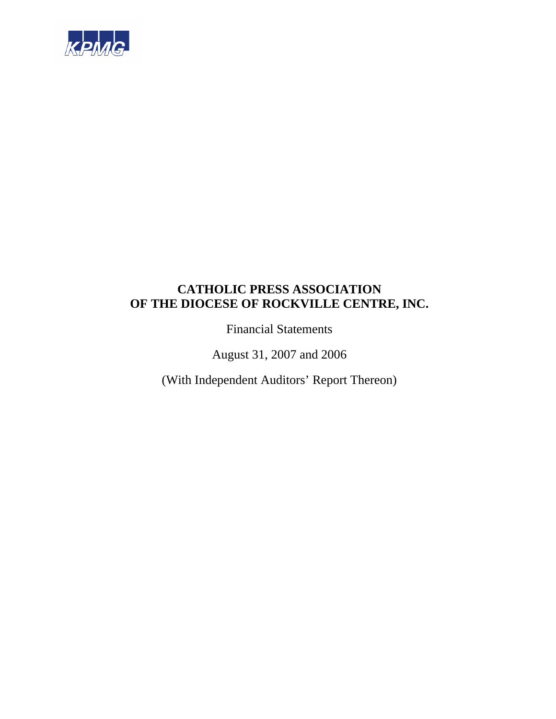

Financial Statements

August 31, 2007 and 2006

(With Independent Auditors' Report Thereon)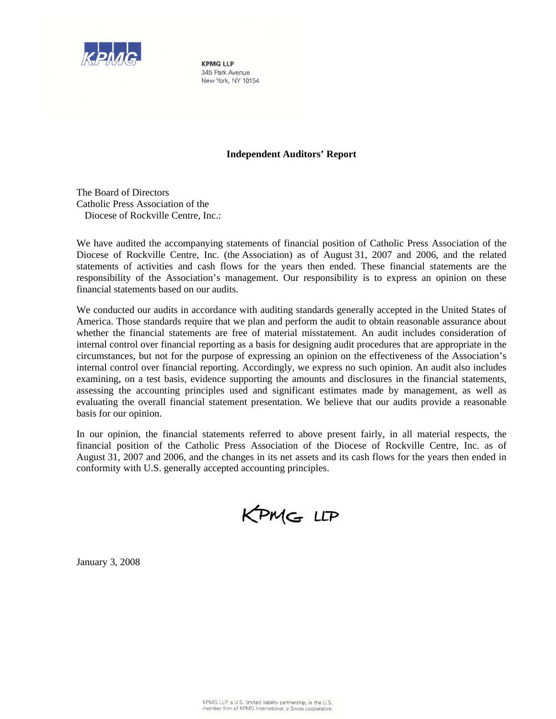

**KPMG IIP** 345 Park Avenue New York, NY 10154

## **Independent Auditors' Report**

The Board of Directors Catholic Press Association of the Diocese of Rockville Centre, Inc.:

We have audited the accompanying statements of financial position of Catholic Press Association of the Diocese of Rockville Centre, Inc. (the Association) as of August 31, 2007 and 2006, and the related statements of activities and cash flows for the years then ended. These financial statements are the responsibility of the Association's management. Our responsibility is to express an opinion on these financial statements based on our audits.

We conducted our audits in accordance with auditing standards generally accepted in the United States of America. Those standards require that we plan and perform the audit to obtain reasonable assurance about whether the financial statements are free of material misstatement. An audit includes consideration of internal control over financial reporting as a basis for designing audit procedures that are appropriate in the circumstances, but not for the purpose of expressing an opinion on the effectiveness of the Association's internal control over financial reporting. Accordingly, we express no such opinion. An audit also includes examining, on a test basis, evidence supporting the amounts and disclosures in the financial statements, assessing the accounting principles used and significant estimates made by management, as well as evaluating the overall financial statement presentation. We believe that our audits provide a reasonable basis for our opinion.

In our opinion, the financial statements referred to above present fairly, in all material respects, the financial position of the Catholic Press Association of the Diocese of Rockville Centre, Inc. as of August 31, 2007 and 2006, and the changes in its net assets and its cash flows for the years then ended in conformity with U.S. generally accepted accounting principles.

KPMG LLP

January 3, 2008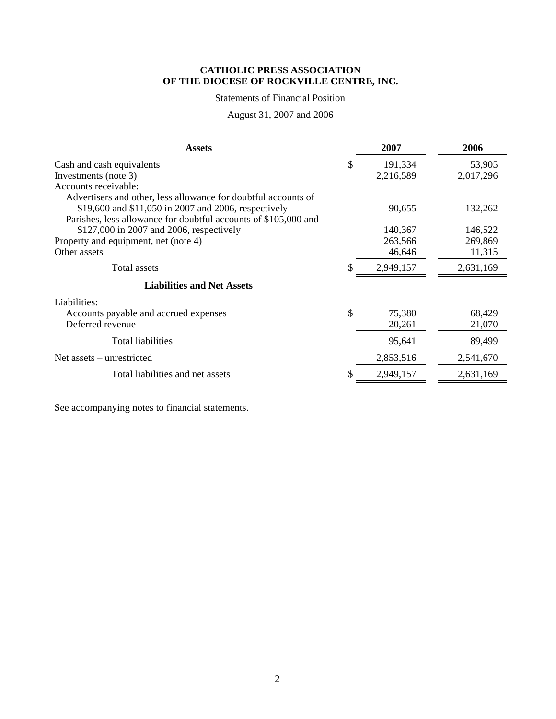## Statements of Financial Position

# August 31, 2007 and 2006

| <b>Assets</b>                                                   | 2007          | 2006      |
|-----------------------------------------------------------------|---------------|-----------|
| Cash and cash equivalents                                       | \$<br>191,334 | 53,905    |
| Investments (note 3)                                            | 2,216,589     | 2,017,296 |
| Accounts receivable:                                            |               |           |
| Advertisers and other, less allowance for doubtful accounts of  |               |           |
| \$19,600 and \$11,050 in 2007 and 2006, respectively            | 90,655        | 132,262   |
| Parishes, less allowance for doubtful accounts of \$105,000 and |               |           |
| \$127,000 in 2007 and 2006, respectively                        | 140,367       | 146,522   |
| Property and equipment, net (note 4)                            | 263,566       | 269,869   |
| Other assets                                                    | 46,646        | 11,315    |
| Total assets                                                    | 2,949,157     | 2,631,169 |
| <b>Liabilities and Net Assets</b>                               |               |           |
| Liabilities:                                                    |               |           |
| Accounts payable and accrued expenses                           | \$<br>75,380  | 68,429    |
| Deferred revenue                                                | 20,261        | 21,070    |
| <b>Total liabilities</b>                                        | 95,641        | 89,499    |
| Net assets – unrestricted                                       | 2,853,516     | 2,541,670 |
| Total liabilities and net assets                                | 2,949,157     | 2,631,169 |

See accompanying notes to financial statements.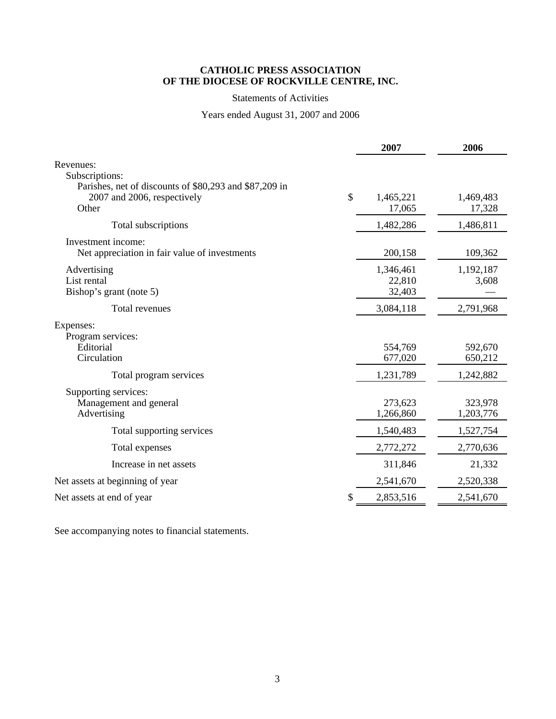## Statements of Activities

## Years ended August 31, 2007 and 2006

|                                                                                                |    | 2007                          | 2006                 |
|------------------------------------------------------------------------------------------------|----|-------------------------------|----------------------|
| Revenues:<br>Subscriptions:                                                                    |    |                               |                      |
| Parishes, net of discounts of \$80,293 and \$87,209 in<br>2007 and 2006, respectively<br>Other | \$ | 1,465,221<br>17,065           | 1,469,483<br>17,328  |
| Total subscriptions                                                                            |    | 1,482,286                     | 1,486,811            |
| Investment income:<br>Net appreciation in fair value of investments                            |    | 200,158                       | 109,362              |
| Advertising<br>List rental<br>Bishop's grant (note 5)                                          |    | 1,346,461<br>22,810<br>32,403 | 1,192,187<br>3,608   |
| Total revenues                                                                                 |    | 3,084,118                     | 2,791,968            |
| Expenses:<br>Program services:<br>Editorial<br>Circulation                                     |    | 554,769<br>677,020            | 592,670<br>650,212   |
| Total program services                                                                         |    | 1,231,789                     | 1,242,882            |
| Supporting services:<br>Management and general<br>Advertising                                  |    | 273,623<br>1,266,860          | 323,978<br>1,203,776 |
| Total supporting services                                                                      |    | 1,540,483                     | 1,527,754            |
| Total expenses                                                                                 |    | 2,772,272                     | 2,770,636            |
| Increase in net assets                                                                         |    | 311,846                       | 21,332               |
| Net assets at beginning of year                                                                |    | 2,541,670                     | 2,520,338            |
| Net assets at end of year                                                                      | S  | 2,853,516                     | 2,541,670            |

See accompanying notes to financial statements.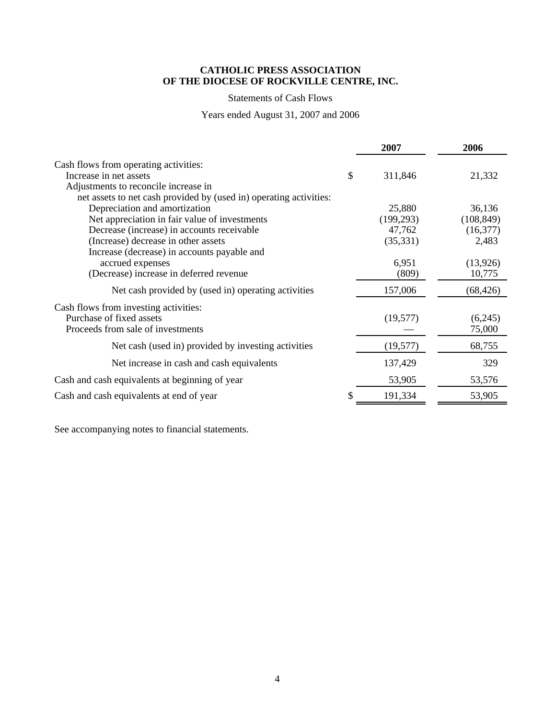## Statements of Cash Flows

Years ended August 31, 2007 and 2006

|                                                                    | 2007          | 2006       |
|--------------------------------------------------------------------|---------------|------------|
| Cash flows from operating activities:                              |               |            |
| Increase in net assets                                             | \$<br>311,846 | 21,332     |
| Adjustments to reconcile increase in                               |               |            |
| net assets to net cash provided by (used in) operating activities: |               |            |
| Depreciation and amortization                                      | 25,880        | 36,136     |
| Net appreciation in fair value of investments                      | (199, 293)    | (108, 849) |
| Decrease (increase) in accounts receivable                         | 47,762        | (16, 377)  |
| (Increase) decrease in other assets                                | (35,331)      | 2,483      |
| Increase (decrease) in accounts payable and                        |               |            |
| accrued expenses                                                   | 6,951         | (13,926)   |
| (Decrease) increase in deferred revenue                            | (809)         | 10,775     |
| Net cash provided by (used in) operating activities                | 157,006       | (68, 426)  |
| Cash flows from investing activities:                              |               |            |
| Purchase of fixed assets                                           | (19,577)      | (6,245)    |
| Proceeds from sale of investments                                  |               | 75,000     |
| Net cash (used in) provided by investing activities                | (19, 577)     | 68,755     |
| Net increase in cash and cash equivalents                          | 137,429       | 329        |
| Cash and cash equivalents at beginning of year                     | 53,905        | 53,576     |
| Cash and cash equivalents at end of year                           | 191,334       | 53,905     |

See accompanying notes to financial statements.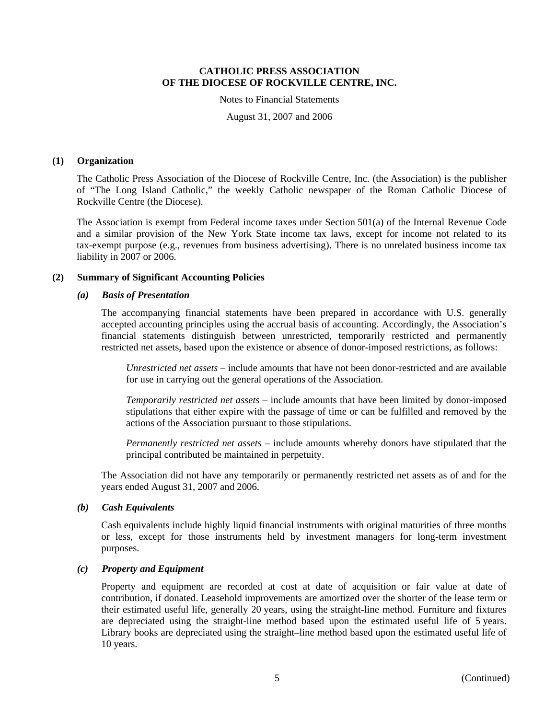Notes to Financial Statements

August 31, 2007 and 2006

#### **(1) Organization**

The Catholic Press Association of the Diocese of Rockville Centre, Inc. (the Association) is the publisher of "The Long Island Catholic," the weekly Catholic newspaper of the Roman Catholic Diocese of Rockville Centre (the Diocese).

The Association is exempt from Federal income taxes under Section 501(a) of the Internal Revenue Code and a similar provision of the New York State income tax laws, except for income not related to its tax-exempt purpose (e.g., revenues from business advertising). There is no unrelated business income tax liability in 2007 or 2006.

## **(2) Summary of Significant Accounting Policies**

### *(a) Basis of Presentation*

The accompanying financial statements have been prepared in accordance with U.S. generally accepted accounting principles using the accrual basis of accounting. Accordingly, the Association's financial statements distinguish between unrestricted, temporarily restricted and permanently restricted net assets, based upon the existence or absence of donor-imposed restrictions, as follows:

*Unrestricted net assets* – include amounts that have not been donor-restricted and are available for use in carrying out the general operations of the Association.

*Temporarily restricted net assets* – include amounts that have been limited by donor-imposed stipulations that either expire with the passage of time or can be fulfilled and removed by the actions of the Association pursuant to those stipulations.

*Permanently restricted net assets* – include amounts whereby donors have stipulated that the principal contributed be maintained in perpetuity.

The Association did not have any temporarily or permanently restricted net assets as of and for the years ended August 31, 2007 and 2006.

### *(b) Cash Equivalents*

Cash equivalents include highly liquid financial instruments with original maturities of three months or less, except for those instruments held by investment managers for long-term investment purposes.

## *(c) Property and Equipment*

Property and equipment are recorded at cost at date of acquisition or fair value at date of contribution, if donated. Leasehold improvements are amortized over the shorter of the lease term or their estimated useful life, generally 20 years, using the straight-line method. Furniture and fixtures are depreciated using the straight-line method based upon the estimated useful life of 5 years. Library books are depreciated using the straight–line method based upon the estimated useful life of 10 years.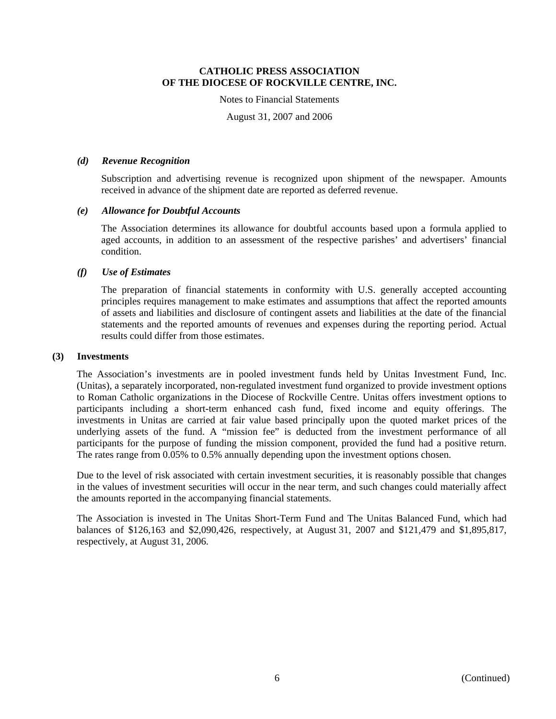Notes to Financial Statements

August 31, 2007 and 2006

### *(d) Revenue Recognition*

Subscription and advertising revenue is recognized upon shipment of the newspaper. Amounts received in advance of the shipment date are reported as deferred revenue.

## *(e) Allowance for Doubtful Accounts*

The Association determines its allowance for doubtful accounts based upon a formula applied to aged accounts, in addition to an assessment of the respective parishes' and advertisers' financial condition.

## *(f) Use of Estimates*

The preparation of financial statements in conformity with U.S. generally accepted accounting principles requires management to make estimates and assumptions that affect the reported amounts of assets and liabilities and disclosure of contingent assets and liabilities at the date of the financial statements and the reported amounts of revenues and expenses during the reporting period. Actual results could differ from those estimates.

## **(3) Investments**

The Association's investments are in pooled investment funds held by Unitas Investment Fund, Inc. (Unitas), a separately incorporated, non-regulated investment fund organized to provide investment options to Roman Catholic organizations in the Diocese of Rockville Centre. Unitas offers investment options to participants including a short-term enhanced cash fund, fixed income and equity offerings. The investments in Unitas are carried at fair value based principally upon the quoted market prices of the underlying assets of the fund. A "mission fee" is deducted from the investment performance of all participants for the purpose of funding the mission component, provided the fund had a positive return. The rates range from 0.05% to 0.5% annually depending upon the investment options chosen.

Due to the level of risk associated with certain investment securities, it is reasonably possible that changes in the values of investment securities will occur in the near term, and such changes could materially affect the amounts reported in the accompanying financial statements.

The Association is invested in The Unitas Short-Term Fund and The Unitas Balanced Fund, which had balances of \$126,163 and \$2,090,426, respectively, at August 31, 2007 and \$121,479 and \$1,895,817, respectively, at August 31, 2006.